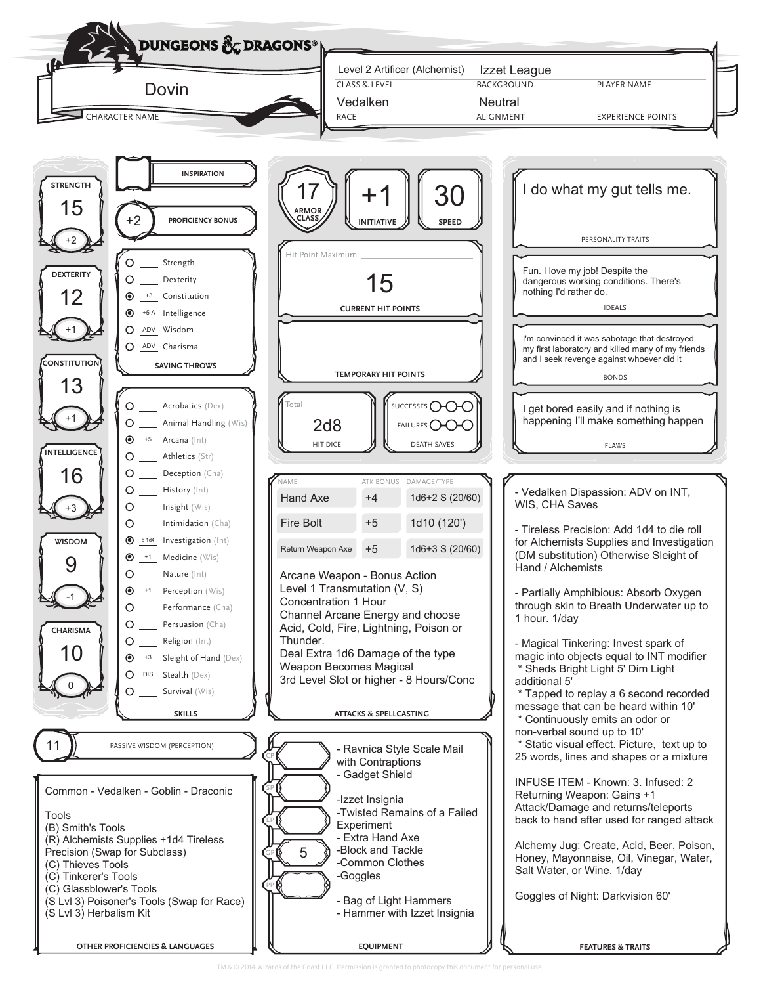

TM & © 2014 Wizards of the Coast LLC. Permission is granted to photocopy this document for personal use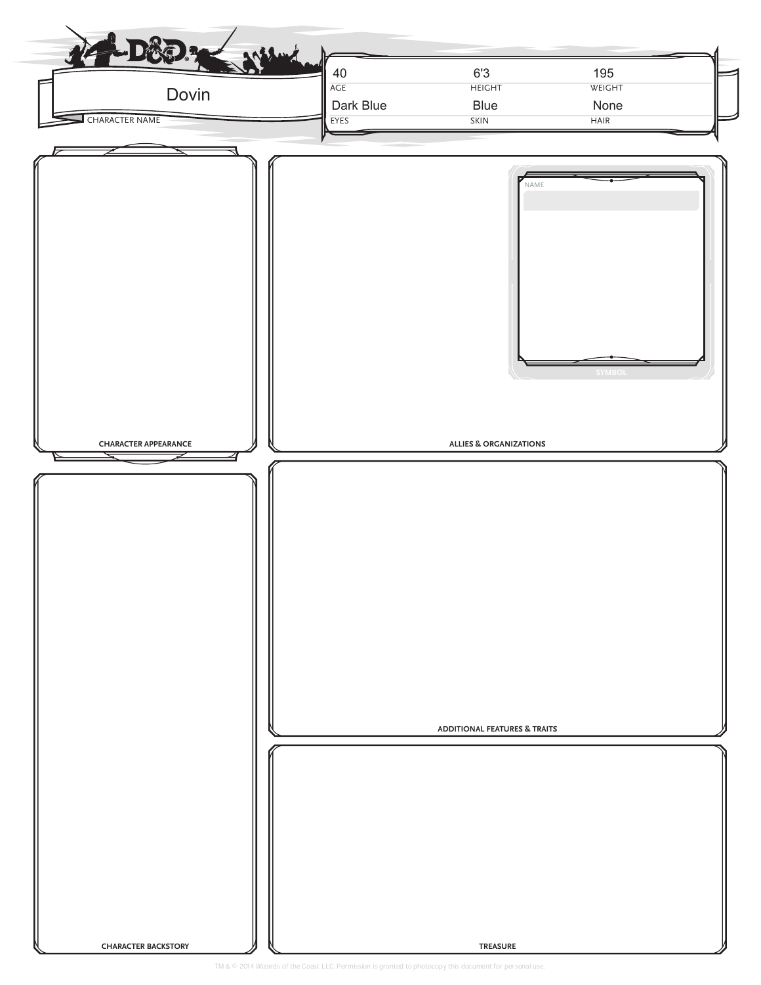